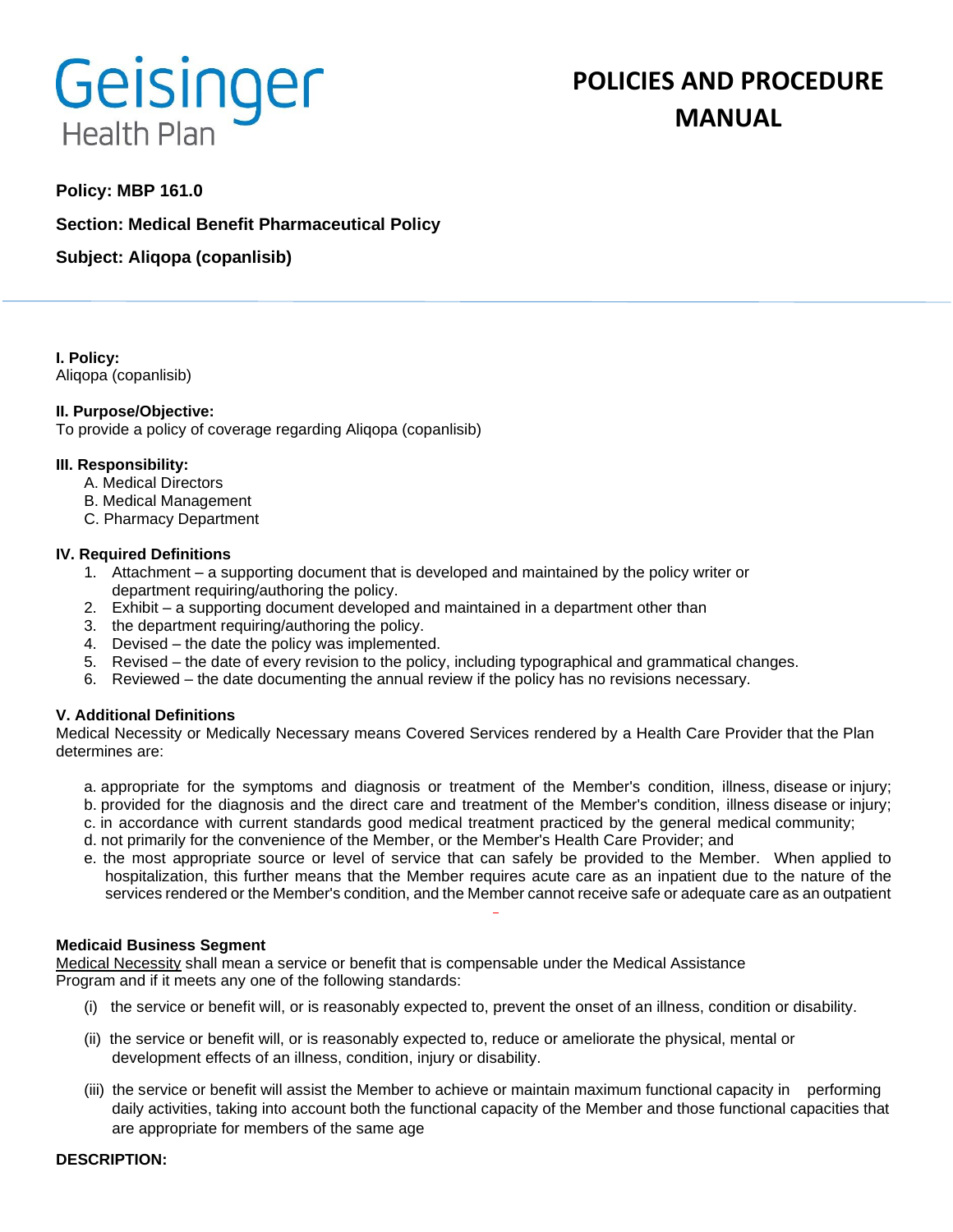# Geisinger **Health Plan**

# **POLICIES AND PROCEDURE MANUAL**

# **Policy: MBP 161.0**

**Section: Medical Benefit Pharmaceutical Policy**

**Subject: Aliqopa (copanlisib)**

**I. Policy:** Aliqopa (copanlisib)

# **II. Purpose/Objective:**

To provide a policy of coverage regarding Aliqopa (copanlisib)

# **III. Responsibility:**

- A. Medical Directors
- B. Medical Management
- C. Pharmacy Department

# **IV. Required Definitions**

- 1. Attachment a supporting document that is developed and maintained by the policy writer or department requiring/authoring the policy.
- 2. Exhibit a supporting document developed and maintained in a department other than
- 3. the department requiring/authoring the policy.
- 4. Devised the date the policy was implemented.
- 5. Revised the date of every revision to the policy, including typographical and grammatical changes.
- 6. Reviewed the date documenting the annual review if the policy has no revisions necessary.

# **V. Additional Definitions**

Medical Necessity or Medically Necessary means Covered Services rendered by a Health Care Provider that the Plan determines are:

- a. appropriate for the symptoms and diagnosis or treatment of the Member's condition, illness, disease or injury; b. provided for the diagnosis and the direct care and treatment of the Member's condition, illness disease or injury;
- c. in accordance with current standards good medical treatment practiced by the general medical community;
- d. not primarily for the convenience of the Member, or the Member's Health Care Provider; and
- e. the most appropriate source or level of service that can safely be provided to the Member. When applied to hospitalization, this further means that the Member requires acute care as an inpatient due to the nature of the services rendered or the Member's condition, and the Member cannot receive safe or adequate care as an outpatient

#### **Medicaid Business Segment**

Medical Necessity shall mean a service or benefit that is compensable under the Medical Assistance Program and if it meets any one of the following standards:

- (i) the service or benefit will, or is reasonably expected to, prevent the onset of an illness, condition or disability.
- (ii) the service or benefit will, or is reasonably expected to, reduce or ameliorate the physical, mental or development effects of an illness, condition, injury or disability.
- (iii) the service or benefit will assist the Member to achieve or maintain maximum functional capacity in performing daily activities, taking into account both the functional capacity of the Member and those functional capacities that are appropriate for members of the same age

#### **DESCRIPTION:**